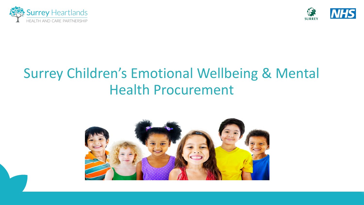



### Surrey Children's Emotional Wellbeing & Mental Health Procurement

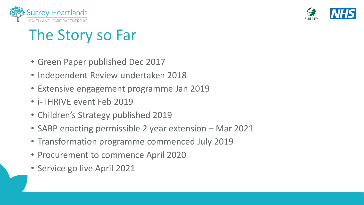



# The Story so Far

- Green Paper published Dec 2017
- Independent Review undertaken 2018
- Extensive engagement programme Jan 2019
- i-THRIVE event Feb 2019
- Children's Strategy published 2019
- SABP enacting permissible 2 year extension Mar 2021
- Transformation programme commenced July 2019
- Procurement to commence April 2020
- Service go live April 2021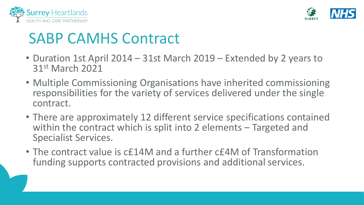



## SABP CAMHS Contract

- Duration 1st April 2014 31st March 2019 Extended by 2 years to 31st March 2021
- Multiple Commissioning Organisations have inherited commissioning responsibilities for the variety of services delivered under the single contract.
- There are approximately 12 different service specifications contained within the contract which is split into 2 elements – Targeted and Specialist Services.
- The contract value is c£14M and a further c£4M of Transformation funding supports contracted provisions and additional services.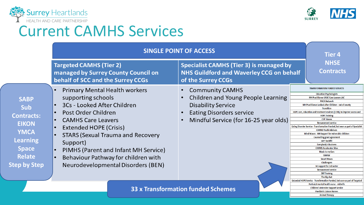



**Animal Therapy** 

### Current CAMHS Services

|                                                                                                                                                          | <b>SINGLE POINT OF ACCESS</b><br><b>Targeted CAMHS (Tier 2)</b><br><b>Specialist CAMHS (Tier 3) is managed by</b><br><b>NHS Guildford and Waverley CCG on behalf</b><br>managed by Surrey County Council on<br>behalf of SCC and the Surrey CCGs<br>of the Surrey CCGs                                                                               |  |                                                                                                                                                                       |  | <b>Tier 4</b><br><b>NHSE</b><br><b>Contracts</b>                                                                                                                                                                                                                                                                                                                                                                                                                                                                                                                                                                                                                                                                                                                                                                                                                                                                                                               |
|----------------------------------------------------------------------------------------------------------------------------------------------------------|------------------------------------------------------------------------------------------------------------------------------------------------------------------------------------------------------------------------------------------------------------------------------------------------------------------------------------------------------|--|-----------------------------------------------------------------------------------------------------------------------------------------------------------------------|--|----------------------------------------------------------------------------------------------------------------------------------------------------------------------------------------------------------------------------------------------------------------------------------------------------------------------------------------------------------------------------------------------------------------------------------------------------------------------------------------------------------------------------------------------------------------------------------------------------------------------------------------------------------------------------------------------------------------------------------------------------------------------------------------------------------------------------------------------------------------------------------------------------------------------------------------------------------------|
| <b>SABP</b><br><b>Sub</b><br><b>Contracts:</b><br><b>EIKON</b><br><b>YMCA</b><br><b>Learning</b><br><b>Space</b><br><b>Relate</b><br><b>Step by Step</b> | <b>Primary Mental Health workers</b><br>supporting schools<br>3Cs - Looked After Children<br>Post Order Children<br><b>CAMHS Care Leavers</b><br>Extended HOPE (Crisis)<br><b>STARS (Sexual Trauma and Recovery</b><br>Support)<br>PIMHS (Parent and Infant MH Service)<br>Behaviour Pathway for children with<br>Neurodevelopmental Disorders (BEN) |  | <b>Community CAMHS</b><br>Children and Young People Learning<br><b>Disability Service</b><br><b>Eating Disorders service</b><br>Mindful Service (for 16-25 year olds) |  | <b>TRANSFORMATION FUNDED SERVICES</b><br><b>Education Psychologists</b><br><b>MH Practitioner UASC Care Leavers LAC</b><br><b>PACA Network</b><br>MH Practitioner Looked after Children - out of county<br><b>Transition</b><br>HOPE care, education and treatment reviews (CETR), to improve access and<br><b>HOPE Training</b><br><b>CYP Haven</b><br><b>Bereavement service</b><br>Eating Disorder Service - Transformation Funded, but seen as part of Specialist<br><b>CAMHS Youth Advisers</b><br>Mind Waves - MH Support for vulnerable children<br><b>Counselling grant agreement</b><br><b>IAPT backfill</b><br><b>Everybody's Business</b><br><b>CAMHS Accelerator Sites</b><br><b>Music to my Ears</b><br><b>SSHAW</b><br><b>Smart Moves</b><br><b>Challengers</b><br>N3 support for 3rd sector<br><b>Bereavement service</b><br><b>DBT Training</b><br>The Big chat<br>Extended HOPE Service - Transformation Funded, but seen as part of Targeted |
|                                                                                                                                                          |                                                                                                                                                                                                                                                                                                                                                      |  | <b>33 x Transformation funded Schemes</b>                                                                                                                             |  | Perinatal mental health nurse - midwife<br><b>Children's Intensive Support Service</b><br><b>Paediatric Liaison Nurses</b>                                                                                                                                                                                                                                                                                                                                                                                                                                                                                                                                                                                                                                                                                                                                                                                                                                     |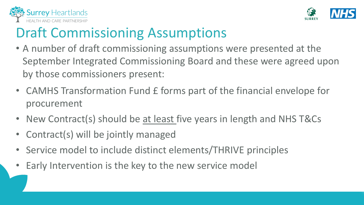



### Draft Commissioning Assumptions

- A number of draft commissioning assumptions were presented at the September Integrated Commissioning Board and these were agreed upon by those commissioners present:
- CAMHS Transformation Fund £ forms part of the financial envelope for procurement
- New Contract(s) should be at least five years in length and NHS T&Cs
- Contract(s) will be jointly managed
- Service model to include distinct elements/THRIVE principles
- Early Intervention is the key to the new service model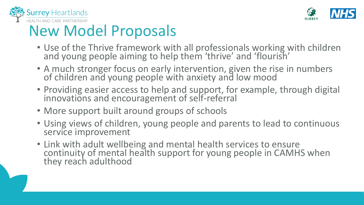



# New Model Proposals

- Use of the Thrive framework with all professionals working with children and young people aiming to help them 'thrive' and 'flourish'
- A much stronger focus on early intervention, given the rise in numbers of children and young people with anxiety and low mood
- Providing easier access to help and support, for example, through digital innovations and encouragement of self-referral
- More support built around groups of schools
- Using views of children, young people and parents to lead to continuous service improvement
- Link with adult wellbeing and mental health services to ensure continuity of mental health support for young people in CAMHS when they reach adulthood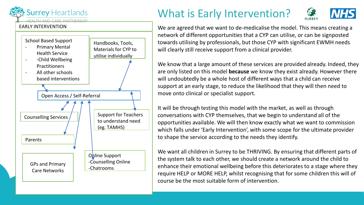

#### EARLY INTERVENTION



### What is Early Intervention?



We are agreed that we want to de-medicalise the model. This means creating a network of different opportunities that a CYP can utilise, or can be signposted towards utilising by professionals, but those CYP with significant EWMH needs will clearly still receive support from a clinical provider.

We know that a large amount of these services are provided already. Indeed, they are only listed on this model **because** we know they exist already. However there will undoubtedly be a whole host of different ways that a child can receive support at an early stage, to reduce the likelihood that they will then need to move onto clinical or specialist support.

It will be through testing this model with the market, as well as through conversations with CYP themselves, that we begin to understand all of the opportunities available. We will then know exactly what we want to commission which falls under 'Early Intervention', with some scope for the ultimate provider to shape the service according to the needs they identify.

We want all children in Surrey to be THRIVING. By ensuring that different parts of the system talk to each other, we should create a network around the child to enhance their emotional wellbeing before this deteriorates to a stage where they require HELP or MORE HELP, whilst recognising that for some children this will of course be the most suitable form of intervention.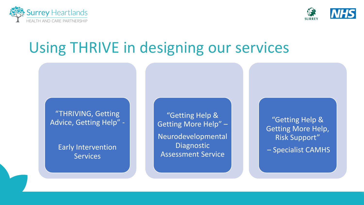



## Using THRIVE in designing our services

"THRIVING, Getting Advice, Getting Help" -

> Early Intervention **Services**

"Getting Help & Getting More Help" –

Neurodevelopmental **Diagnostic** Assessment Service

"Getting Help & Getting More Help, Risk Support"

– Specialist CAMHS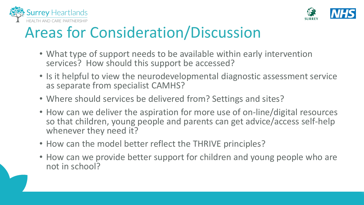



# Areas for Consideration/Discussion

- What type of support needs to be available within early intervention services? How should this support be accessed?
- Is it helpful to view the neurodevelopmental diagnostic assessment service as separate from specialist CAMHS?
- Where should services be delivered from? Settings and sites?
- How can we deliver the aspiration for more use of on-line/digital resources so that children, young people and parents can get advice/access self-help whenever they need it?
- How can the model better reflect the THRIVE principles?
- How can we provide better support for children and young people who are not in school?